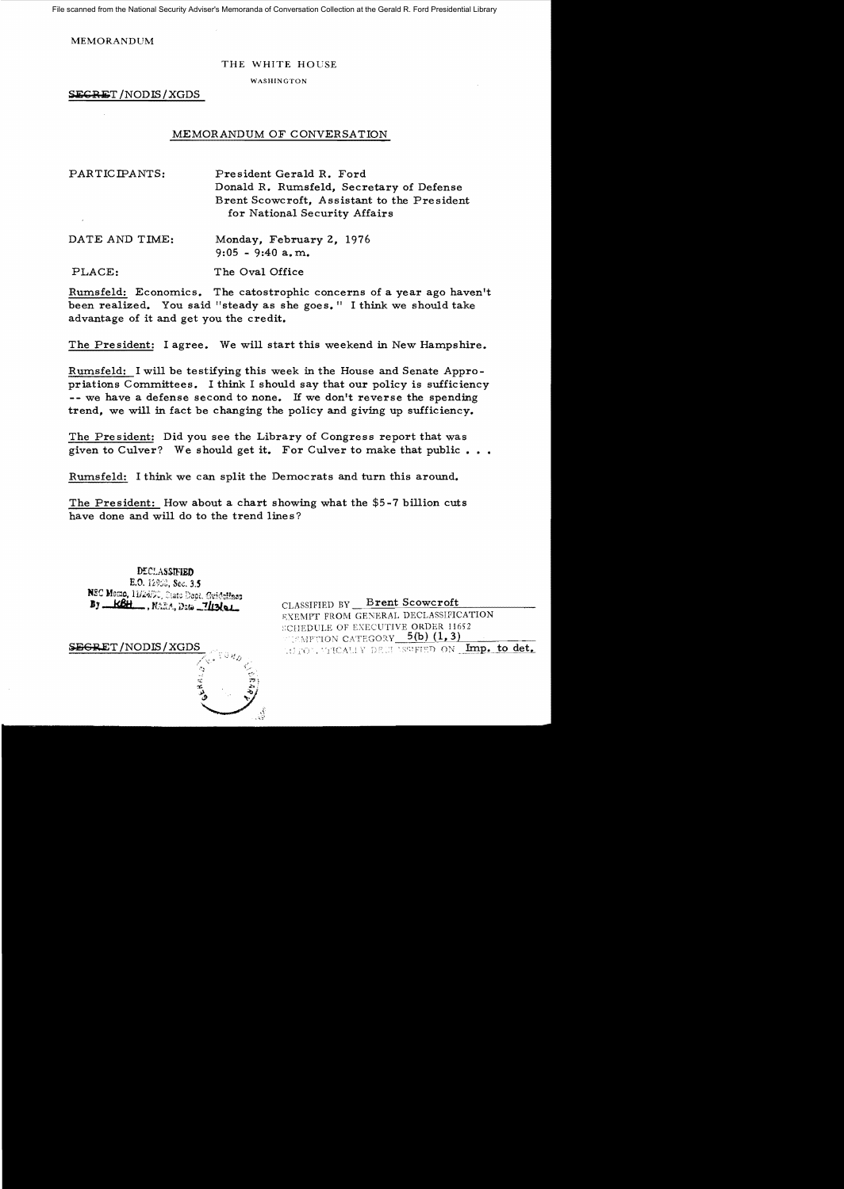File scanned from the National Security Adviser's Memoranda of Conversation Collection at the Gerald R. Ford Presidential Library

MEMORANDUM

## THE WHITE HOUSE

WASHINGTON

SEGRET /NODIS/XGDS

## MEMORANDUM OF CONVERSATION

| PARTICIPANTS: | President Gerald R. Ford<br>Donald R. Rumsfeld, Secretary of Defense         |
|---------------|------------------------------------------------------------------------------|
|               | Brent Scowcroft, Assistant to the President<br>for National Security Affairs |

DATE AND TIME: Monday, February 2, 1976  $9:05 - 9:40$  a.m.

PLACE: The Oval Office

Rumsfe1d: Economics. The catostrophic concerns of a year ago haven't been realized. You said "steady as she goes." I think we should take advantage of it and get you the credit.

The President: I agree. We will start this weekend in New Hampshire.

Rumsfe1d: I will be testifying this week in the House and Senate Appropriations Committees. I think I should say that our policy is sufficiency -- we have a defense second to none. If we don't reverse the spending trend, we will in fact be changing the policy and giving up sufficiency.

The President: Did you see the Library of Congress report that was given to Culver? We should get it. For Culver to make that public...

Rumsfe1d: I think we can split the Democrats and turn this around.

The President: How about a chart showing what the \$5-7 billion cuts have done and will do to the trend lines?

DECLASSIFIED E.O. 12950, Sec. 3.5 NSC Momo, 11/24/90, State Boot, Geidalines By KBH , NARA, Data 7/13/01



CLASSIFIED BY Brent Scowcroft EXEMPT FROM GENERAL DECLASSIFICATION SCHEDULE OF EXECUTIVE ORDER 11652 WIEMPTION CATEGORY 5(b) (1,3) SJi)€:a.ET /NODIS/XGDS • "j ,.' • S(:~ FF:n ()~'~ ..~12. to det.